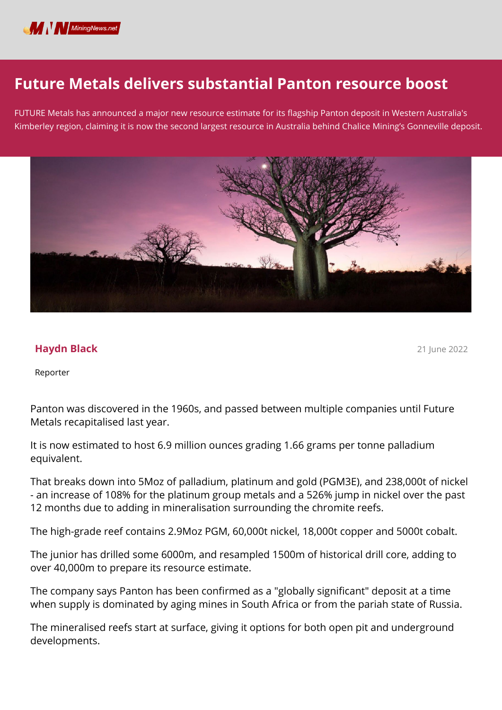

## **Future Metals delivers substantial Panton resource boost**

FUTURE Metals has announced a major new resource estimate for its flagship Panton deposit in Western Australia's Kimberley region, claiming it is now the second largest resource in Australia behind Chalice Mining's Gonneville deposit.



## **Haydn Black**

21 June 2022

Reporter

Panton was discovered in the 1960s, and passed between multiple companies until Future Metals recapitalised last year.

It is now estimated to host 6.9 million ounces grading 1.66 grams per tonne palladium equivalent.

That breaks down into 5Moz of palladium, platinum and gold (PGM3E), and 238,000t of nickel - an increase of 108% for the platinum group metals and a 526% jump in nickel over the past 12 months due to adding in mineralisation surrounding the chromite reefs.

The high-grade reef contains 2.9Moz PGM, 60,000t nickel, 18,000t copper and 5000t cobalt.

The junior has drilled some 6000m, and resampled 1500m of historical drill core, adding to over 40,000m to prepare its resource estimate.

The company says Panton has been confirmed as a "globally significant" deposit at a time when supply is dominated by aging mines in South Africa or from the pariah state of Russia.

The mineralised reefs start at surface, giving it options for both open pit and underground developments.